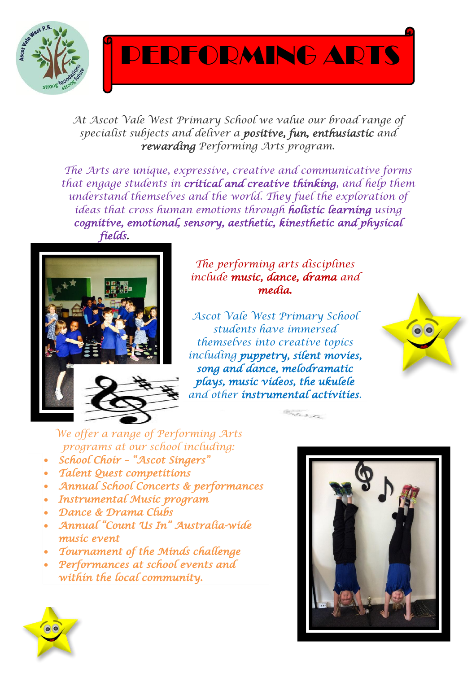

PERFORMING ARTS

*At Ascot Vale West Primary School we value our broad range of specialist subjects and deliver a positive, fun, enthusiastic and rewarding Performing Arts program.*

*The Arts are unique, expressive, creative and communicative forms that engage students in critical and creative thinking, and help them understand themselves and the world. They fuel the exploration of ideas that cross human emotions through holistic learning using cognitive, emotional, sensory, aesthetic, kinesthetic and physical fields.* 



*The performing arts disciplines include music, dance, drama and media.*

*Ascot Vale West Primary School students have immersed themselves into creative topics including puppetry, silent movies, song and dance, melodramatic plays, music videos, the ukulele and other instrumental activities.* 

 $\label{eq:2} \mathcal{L}_{\mathcal{P}_{\mathcal{P}}\mathcal{P}_{\mathcal{P}}\mathcal{P}_{\mathcal{P}}\mathcal{P}_{\mathcal{P}}\mathcal{P}_{\mathcal{P}}\mathcal{P}_{\mathcal{P}}\mathcal{P}_{\mathcal{P}}\mathcal{P}_{\mathcal{P}}\mathcal{P}_{\mathcal{P}}\mathcal{P}_{\mathcal{P}}\mathcal{P}_{\mathcal{P}}\mathcal{P}_{\mathcal{P}}\mathcal{P}_{\mathcal{P}}\mathcal{P}_{\mathcal{P}}\mathcal{P}_{\mathcal{P}}\mathcal{P}_{\mathcal{P}}\mathcal{P}_{\mathcal{P}}\mathcal$ 



*We offer a range of Performing Arts programs at our school including:*

- *School Choir – "Ascot Singers"*
- *Talent Quest competitions*
- *Annual School Concerts & performances*
- *Instrumental Music program*
- *Dance & Drama Clubs*
- *Annual "Count Us In" Australia-wide music event*
- *Tournament of the Minds challenge*
- *Performances at school events and within the local community.*